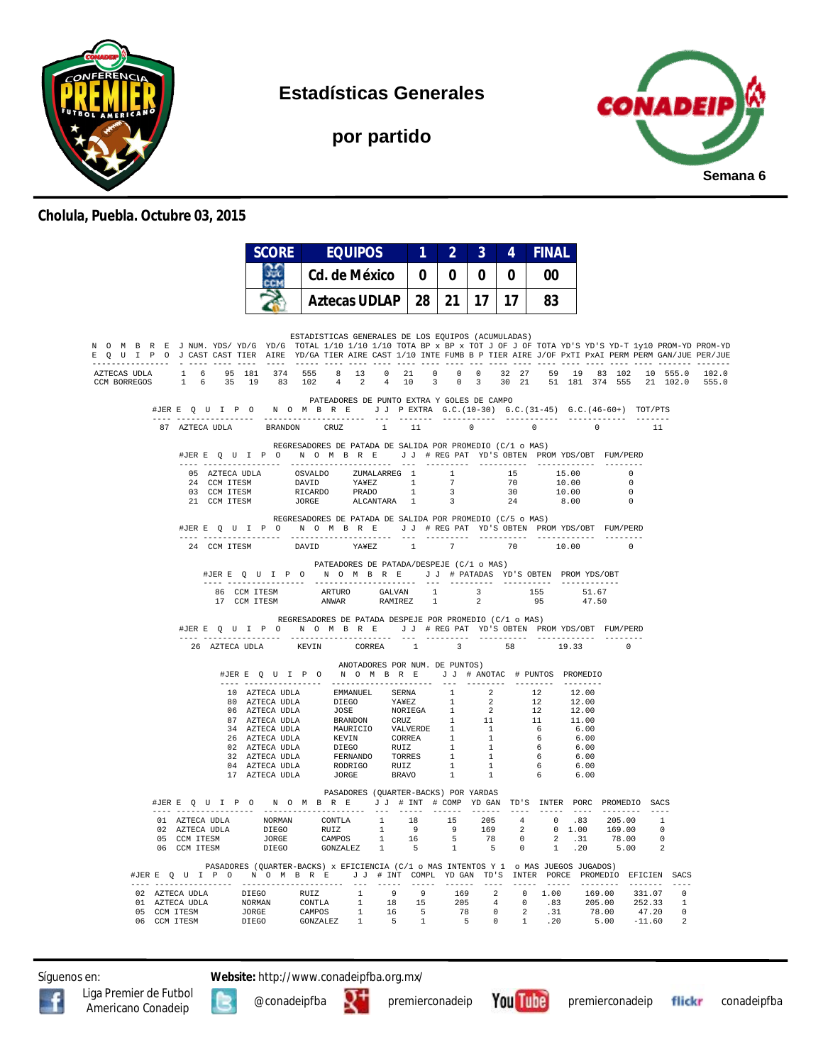

**Estadísticas Generales**

**por partido**



#### **Cholula, Puebla. Octubre 03, 2015**

|                                                                                                                                                                                                                                                                         |                                                                                                                                                                                                                                                                                                                                                           | <b>SCORE</b>    | <b>EQUIPOS</b>                                                                                                                                                                                                                                                                  |               | 1 <sup>1</sup> | 2 <sup>1</sup>          | 3 <sup>°</sup> | 4        | <b>FINAL</b>                                                                                                         |                |                                                                                  |             |  |
|-------------------------------------------------------------------------------------------------------------------------------------------------------------------------------------------------------------------------------------------------------------------------|-----------------------------------------------------------------------------------------------------------------------------------------------------------------------------------------------------------------------------------------------------------------------------------------------------------------------------------------------------------|-----------------|---------------------------------------------------------------------------------------------------------------------------------------------------------------------------------------------------------------------------------------------------------------------------------|---------------|----------------|-------------------------|----------------|----------|----------------------------------------------------------------------------------------------------------------------|----------------|----------------------------------------------------------------------------------|-------------|--|
|                                                                                                                                                                                                                                                                         |                                                                                                                                                                                                                                                                                                                                                           | $\frac{2}{\pi}$ |                                                                                                                                                                                                                                                                                 | Cd. de México |                |                         | $\bf{0}$       | $\bf{0}$ | 00                                                                                                                   |                |                                                                                  |             |  |
|                                                                                                                                                                                                                                                                         |                                                                                                                                                                                                                                                                                                                                                           |                 | <b>Aztecas UDLAP</b>                                                                                                                                                                                                                                                            |               |                | $28$   21   17   17     |                |          | 83                                                                                                                   |                |                                                                                  |             |  |
| N O M B R E J NUM. YDS/YD/G YD/G TOTAL 1/10 1/10 1/10 TOTA BP x BP x TOT J OF J OF TOTA YD'S YD'S YD-T 1y10 PROM-YD PROM-YD<br>E Q U I P O J CAST CAST TIER AIRE YD/GA TIER AIRE CAST 1/10 INTE FUMB B P TIER AIRE J/OF PxTI PxAI PERM PERM GAN/JUE PER/JUE<br>-------- |                                                                                                                                                                                                                                                                                                                                                           |                 | ESTADISTICAS GENERALES DE LOS EQUIPOS (ACUMULADAS)                                                                                                                                                                                                                              |               |                |                         |                |          |                                                                                                                      |                |                                                                                  |             |  |
| AZTECAS UDLA<br>CCM BORREGOS                                                                                                                                                                                                                                            | $\begin{array}{cccccccccccccccc} 1 & 6 & 95 & 181 & 374 & 555 & 8 & 13 & 0 & 21 & 0 & 0 & 0 & 32 & 27 & 59 & 19 & 83 & 102 & 10 & 555.0 & 102.0 \\ 1 & 6 & 35 & 19 & 83 & 102 & 4 & 2 & 4 & 10 & 3 & 0 & 3 & 30 & 21 & 51 & 181 & 374 & 555 & 21 & 102.0 & 555.0 \end{array}$                                                                             |                 |                                                                                                                                                                                                                                                                                 |               |                |                         |                |          |                                                                                                                      |                |                                                                                  |             |  |
|                                                                                                                                                                                                                                                                         | #JERE Q U I P O N O M B R E J J PEXTRA G.C. (10-30) G.C. (31-45) G.C. (46-60+) TOT/PTS                                                                                                                                                                                                                                                                    |                 | PATEADORES DE PUNTO EXTRA Y GOLES DE CAMPO                                                                                                                                                                                                                                      |               |                |                         |                |          |                                                                                                                      |                |                                                                                  |             |  |
|                                                                                                                                                                                                                                                                         | 87 AZTECA UDLA                                                                                                                                                                                                                                                                                                                                            |                 | BRANDON CRUZ 1                                                                                                                                                                                                                                                                  |               | 11             | $\sim$ 0                |                | $\sim$ 0 |                                                                                                                      | $\overline{0}$ |                                                                                  | $\sqrt{11}$ |  |
|                                                                                                                                                                                                                                                                         |                                                                                                                                                                                                                                                                                                                                                           |                 | REGRESADORES DE PATADA DE SALIDA POR PROMEDIO (C/1 o MAS)<br>#JERE Q U I P O N O M B R E J J # REG PAT YD'S OBTEN PROMYDS/OBT FUM/PERD                                                                                                                                          |               |                |                         |                |          |                                                                                                                      |                |                                                                                  |             |  |
|                                                                                                                                                                                                                                                                         |                                                                                                                                                                                                                                                                                                                                                           |                 |                                                                                                                                                                                                                                                                                 |               |                |                         |                |          | $\begin{array}{ccc} 15 & \quad & 15.00 \\ 70 & \quad & 10.00 \\ 30 & \quad & 10.00 \\ 24 & \quad & 8.00 \end{array}$ |                | $\begin{array}{c}\n\cdot & \cdot & \cdot \\ \hline\n0 & 0 \\ 0 & 0\n\end{array}$ |             |  |
|                                                                                                                                                                                                                                                                         |                                                                                                                                                                                                                                                                                                                                                           |                 |                                                                                                                                                                                                                                                                                 |               |                |                         |                |          |                                                                                                                      |                |                                                                                  |             |  |
|                                                                                                                                                                                                                                                                         |                                                                                                                                                                                                                                                                                                                                                           |                 |                                                                                                                                                                                                                                                                                 |               |                |                         |                | 24       |                                                                                                                      | 8.00           |                                                                                  |             |  |
|                                                                                                                                                                                                                                                                         |                                                                                                                                                                                                                                                                                                                                                           |                 | REGRESADORES DE PATADA DE SALIDA POR PROMEDIO (C/5 o MAS)<br>#JERE Q U I P O N O M B R E J J # REG PAT YD'S OBTEN PROMYDS/OBT FUM/PERD                                                                                                                                          |               |                |                         |                |          |                                                                                                                      |                |                                                                                  |             |  |
|                                                                                                                                                                                                                                                                         | 24 CCM ITESM                                                                                                                                                                                                                                                                                                                                              |                 | YA¥EZ<br>DAVID                                                                                                                                                                                                                                                                  |               | 1 7            |                         |                |          | 70 10.00                                                                                                             |                | $\circ$                                                                          |             |  |
|                                                                                                                                                                                                                                                                         |                                                                                                                                                                                                                                                                                                                                                           |                 | PATEADORES DE PATADA/DESPEJE (C/1 o MAS)<br>#JERE Q U I P O N O M B R E J J # PATADAS YD'S OBTEN PROMYDS/OBT                                                                                                                                                                    |               |                |                         |                |          |                                                                                                                      |                |                                                                                  |             |  |
|                                                                                                                                                                                                                                                                         |                                                                                                                                                                                                                                                                                                                                                           |                 | $\begin{tabular}{lcccccc} 86 & CCM TTSSM & \multicolumn{4}{c}{\textbf{ARTURO}} & \multicolumn{4}{c}{\textbf{GALVAN}} & 1 & 3 & 155 & 51.67 \\ 17 & CCM TTSSM & \multicolumn{4}{c}{\textbf{ANVAR}} & \multicolumn{4}{c}{\textbf{RAMIREZ}} & 1 & 2 & 95 & 47.50 \\ \end{tabular}$ |               |                |                         |                |          |                                                                                                                      |                |                                                                                  |             |  |
|                                                                                                                                                                                                                                                                         |                                                                                                                                                                                                                                                                                                                                                           |                 | REGRESADORES DE PATADA DESPEJE POR PROMEDIO (C/1 o MAS)                                                                                                                                                                                                                         |               |                |                         |                |          |                                                                                                                      |                |                                                                                  |             |  |
|                                                                                                                                                                                                                                                                         |                                                                                                                                                                                                                                                                                                                                                           |                 | #JERE QUIPO NOMBRE JJ #REGPAT YD'S OBTEN PROMYDS/OBT FUM/PERD                                                                                                                                                                                                                   |               |                |                         |                |          |                                                                                                                      |                |                                                                                  |             |  |
|                                                                                                                                                                                                                                                                         | 26 AZTECA UDLA                                                                                                                                                                                                                                                                                                                                            |                 | KEVIN<br>CORREA                                                                                                                                                                                                                                                                 |               | 1              | $\overline{\mathbf{3}}$ |                | 58 3     | 19.33                                                                                                                |                |                                                                                  |             |  |
|                                                                                                                                                                                                                                                                         |                                                                                                                                                                                                                                                                                                                                                           |                 | ANOTADORES POR NUM. DE PUNTOS)<br>#JERE Q U I P O N O M B R E J J # ANOTAC # PUNTOS PROMEDIO                                                                                                                                                                                    |               |                |                         |                |          |                                                                                                                      |                |                                                                                  |             |  |
|                                                                                                                                                                                                                                                                         |                                                                                                                                                                                                                                                                                                                                                           |                 |                                                                                                                                                                                                                                                                                 |               |                |                         |                |          |                                                                                                                      |                |                                                                                  |             |  |
|                                                                                                                                                                                                                                                                         |                                                                                                                                                                                                                                                                                                                                                           |                 |                                                                                                                                                                                                                                                                                 |               |                |                         |                |          |                                                                                                                      |                |                                                                                  |             |  |
|                                                                                                                                                                                                                                                                         |                                                                                                                                                                                                                                                                                                                                                           |                 |                                                                                                                                                                                                                                                                                 |               |                |                         |                |          |                                                                                                                      |                |                                                                                  |             |  |
|                                                                                                                                                                                                                                                                         |                                                                                                                                                                                                                                                                                                                                                           |                 |                                                                                                                                                                                                                                                                                 |               |                |                         |                |          |                                                                                                                      |                |                                                                                  |             |  |
|                                                                                                                                                                                                                                                                         |                                                                                                                                                                                                                                                                                                                                                           |                 |                                                                                                                                                                                                                                                                                 |               |                |                         |                |          |                                                                                                                      |                |                                                                                  |             |  |
|                                                                                                                                                                                                                                                                         |                                                                                                                                                                                                                                                                                                                                                           |                 |                                                                                                                                                                                                                                                                                 |               |                |                         |                |          |                                                                                                                      |                |                                                                                  |             |  |
|                                                                                                                                                                                                                                                                         |                                                                                                                                                                                                                                                                                                                                                           |                 | 10 AZTECA UDLA EMPANUEL SERNA 1 2 12 12.00<br>10 AZTECA UDLA DIEGO YAWEZ 1 2 12 12.00<br>66 AZTECA UDLA JOSE NORIEGA 1 2 12 12.00<br>74 AZTECA UDLA BRANDON CRUZ 1 1 1 11 10 10<br>26 AZTECA UDLA BRANDON COREZ 1 1 6 6.00<br>26 AZTECA                                         |               |                |                         |                |          |                                                                                                                      |                |                                                                                  |             |  |
|                                                                                                                                                                                                                                                                         | #JERE Q U I P O N O M B R E J J # INT # COMP YD GAN TD'S INTER PORC PROMEDIO SACS                                                                                                                                                                                                                                                                         |                 | PASADORES (QUARTER-BACKS) POR YARDAS                                                                                                                                                                                                                                            |               |                |                         |                |          |                                                                                                                      |                |                                                                                  |             |  |
|                                                                                                                                                                                                                                                                         | $\begin{tabular}{cccccccc} 01 & AZTECA & UDLA & NORMAN & CONTLA & 1 & 18 & 15 & 205 & 4 & 0 & .83 & 205.00 & 1 \\ 02 & AZTECA & UDLA & DIEGO & RULZ & 1 & 9 & 9 & 169 & 2 & 0 & 1.00 & 169.00 & 0 \\ 05 & CCM ITESM & JORGE & CAMPOS & 1 & 16 & 5 & 78 & 0 & 2 & .31 & 78.00 & 0 \\ 06 & CCM ITESM & DIEGO & GONZALEZ & 1 & 5 & 1 & 5 & 0 & 1 & .20 & $   |                 |                                                                                                                                                                                                                                                                                 |               |                |                         |                |          |                                                                                                                      |                |                                                                                  |             |  |
|                                                                                                                                                                                                                                                                         |                                                                                                                                                                                                                                                                                                                                                           |                 |                                                                                                                                                                                                                                                                                 |               |                |                         |                |          |                                                                                                                      |                |                                                                                  |             |  |
|                                                                                                                                                                                                                                                                         |                                                                                                                                                                                                                                                                                                                                                           |                 |                                                                                                                                                                                                                                                                                 |               |                |                         |                |          |                                                                                                                      |                |                                                                                  |             |  |
|                                                                                                                                                                                                                                                                         | #JERE Q U I P O N O M B R E J J # INT COMPL YD GAN TD'S INTER PORCE PROMEDIO EFICIEN SACS                                                                                                                                                                                                                                                                 |                 | PASADORES (QUARTER-BACKS) x EFICIENCIA (C/1 o MAS INTENTOS Y 1 o MAS JUEGOS JUGADOS)                                                                                                                                                                                            |               |                |                         |                |          |                                                                                                                      |                |                                                                                  |             |  |
|                                                                                                                                                                                                                                                                         | $\begin{tabular}{cccccccc} 02 & A2TECA & UDLA & DIEGO & RUIZ & 1 & 9 & 9 & 169 & 2 & 0 & 1.00 & 169.00 & 331.07 & 0 \\ 01 & A2TECA & UDLA & NOORMAM & CONTLA & 1 & 18 & 15 & 205 & 4 & 0 & .83 & 205.00 & 252.33 & 1 \\ 05 & CCM ITESM & JORGE & CAMPOS & CAMPOS & 1 & 16 & 5 & 78 & 0 & 2 & .31 & 78.00 & 47.20 & 0 \\ 06 & CCM ITESM & DIEGO & GONZALE$ |                 |                                                                                                                                                                                                                                                                                 |               |                |                         |                |          |                                                                                                                      |                |                                                                                  |             |  |
|                                                                                                                                                                                                                                                                         |                                                                                                                                                                                                                                                                                                                                                           |                 |                                                                                                                                                                                                                                                                                 |               |                |                         |                |          |                                                                                                                      |                |                                                                                  |             |  |
|                                                                                                                                                                                                                                                                         |                                                                                                                                                                                                                                                                                                                                                           |                 |                                                                                                                                                                                                                                                                                 |               |                |                         |                |          |                                                                                                                      |                |                                                                                  |             |  |

Síguenos en: **Website:** http://www.conadeipfba.org.mx/







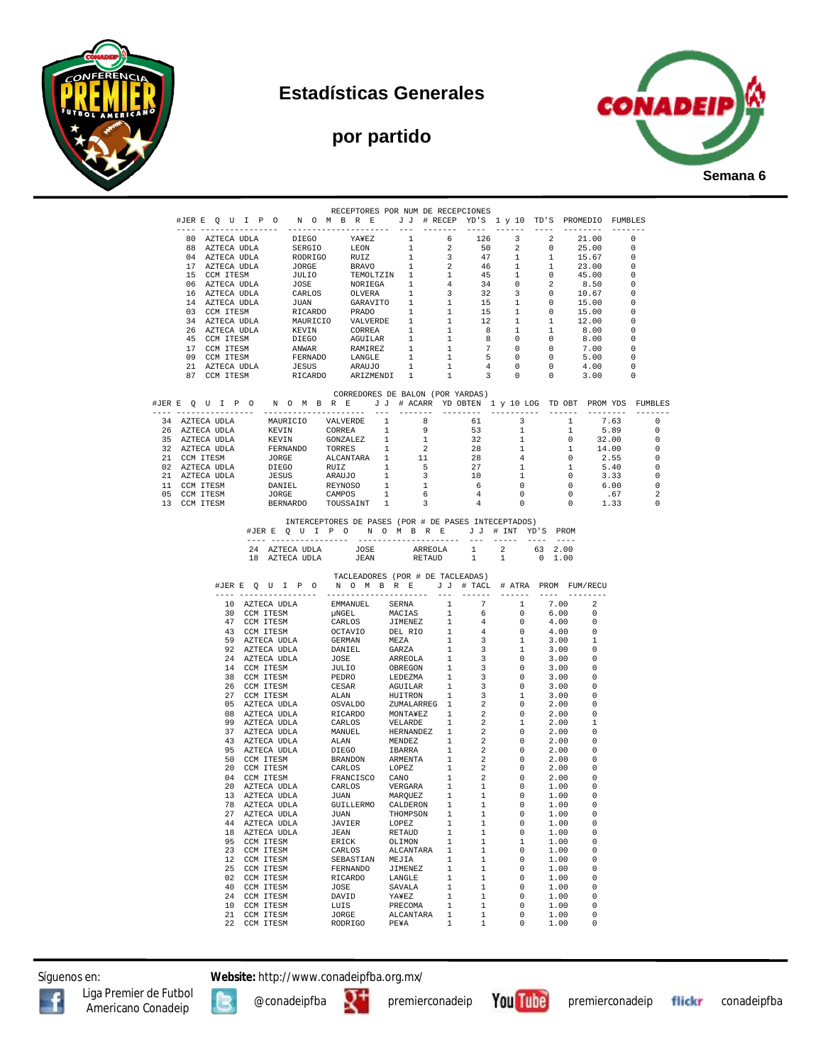

# **Estadísticas Generales**

# **por partido**



|  |    |                                |                                  |                 |  | RECEPTORES POR NUM DE RECEPCIONES                                                                                                                                                                                                                                                                                                                                                                                                                                                                               |                              |                              |              |                                                    |                                                                                                               |  |                                  |
|--|----|--------------------------------|----------------------------------|-----------------|--|-----------------------------------------------------------------------------------------------------------------------------------------------------------------------------------------------------------------------------------------------------------------------------------------------------------------------------------------------------------------------------------------------------------------------------------------------------------------------------------------------------------------|------------------------------|------------------------------|--------------|----------------------------------------------------|---------------------------------------------------------------------------------------------------------------|--|----------------------------------|
|  |    |                                |                                  |                 |  | #JERE QUIPONOMBRE JJ #RECEPYD'S 1 y 10 TD'S PROMEDIO FUMBLES                                                                                                                                                                                                                                                                                                                                                                                                                                                    |                              |                              |              |                                                    |                                                                                                               |  |                                  |
|  |    |                                |                                  |                 |  |                                                                                                                                                                                                                                                                                                                                                                                                                                                                                                                 |                              |                              |              |                                                    |                                                                                                               |  |                                  |
|  |    |                                |                                  |                 |  |                                                                                                                                                                                                                                                                                                                                                                                                                                                                                                                 |                              |                              |              |                                                    |                                                                                                               |  |                                  |
|  |    |                                |                                  |                 |  |                                                                                                                                                                                                                                                                                                                                                                                                                                                                                                                 |                              |                              |              |                                                    |                                                                                                               |  |                                  |
|  |    |                                |                                  |                 |  |                                                                                                                                                                                                                                                                                                                                                                                                                                                                                                                 |                              |                              |              |                                                    |                                                                                                               |  |                                  |
|  |    |                                |                                  |                 |  |                                                                                                                                                                                                                                                                                                                                                                                                                                                                                                                 |                              |                              |              |                                                    |                                                                                                               |  |                                  |
|  |    |                                |                                  |                 |  |                                                                                                                                                                                                                                                                                                                                                                                                                                                                                                                 |                              |                              |              |                                                    |                                                                                                               |  |                                  |
|  |    |                                |                                  |                 |  |                                                                                                                                                                                                                                                                                                                                                                                                                                                                                                                 |                              |                              |              |                                                    |                                                                                                               |  |                                  |
|  |    |                                |                                  |                 |  |                                                                                                                                                                                                                                                                                                                                                                                                                                                                                                                 |                              |                              |              |                                                    |                                                                                                               |  |                                  |
|  |    |                                |                                  |                 |  |                                                                                                                                                                                                                                                                                                                                                                                                                                                                                                                 |                              |                              |              |                                                    |                                                                                                               |  |                                  |
|  |    |                                |                                  |                 |  |                                                                                                                                                                                                                                                                                                                                                                                                                                                                                                                 |                              |                              |              |                                                    |                                                                                                               |  |                                  |
|  |    |                                |                                  |                 |  |                                                                                                                                                                                                                                                                                                                                                                                                                                                                                                                 |                              |                              |              |                                                    |                                                                                                               |  |                                  |
|  |    |                                |                                  |                 |  |                                                                                                                                                                                                                                                                                                                                                                                                                                                                                                                 |                              |                              |              |                                                    |                                                                                                               |  |                                  |
|  |    |                                |                                  |                 |  |                                                                                                                                                                                                                                                                                                                                                                                                                                                                                                                 |                              |                              |              |                                                    |                                                                                                               |  |                                  |
|  |    |                                |                                  |                 |  |                                                                                                                                                                                                                                                                                                                                                                                                                                                                                                                 |                              |                              |              |                                                    |                                                                                                               |  |                                  |
|  |    |                                |                                  |                 |  |                                                                                                                                                                                                                                                                                                                                                                                                                                                                                                                 |                              |                              |              |                                                    |                                                                                                               |  |                                  |
|  |    |                                |                                  |                 |  | CORREDORES DE BALON (POR YARDAS)<br>#JERE QUIPONOMBRE JJ # ACARR YDOBTEN 1 y 10 LOG TDOBT PROMYDS FUMBLES                                                                                                                                                                                                                                                                                                                                                                                                       |                              |                              |              |                                                    |                                                                                                               |  |                                  |
|  |    |                                |                                  |                 |  |                                                                                                                                                                                                                                                                                                                                                                                                                                                                                                                 |                              |                              |              |                                                    |                                                                                                               |  |                                  |
|  |    |                                |                                  |                 |  |                                                                                                                                                                                                                                                                                                                                                                                                                                                                                                                 |                              |                              |              |                                                    |                                                                                                               |  | $\overline{0}$                   |
|  |    |                                |                                  |                 |  |                                                                                                                                                                                                                                                                                                                                                                                                                                                                                                                 |                              |                              |              |                                                    | $5.89$ 0                                                                                                      |  |                                  |
|  |    |                                |                                  |                 |  |                                                                                                                                                                                                                                                                                                                                                                                                                                                                                                                 |                              |                              |              |                                                    |                                                                                                               |  | $\overline{\phantom{0}}$         |
|  |    |                                |                                  |                 |  |                                                                                                                                                                                                                                                                                                                                                                                                                                                                                                                 |                              |                              |              |                                                    |                                                                                                               |  | $\overline{0}$<br>$\overline{0}$ |
|  |    |                                |                                  |                 |  |                                                                                                                                                                                                                                                                                                                                                                                                                                                                                                                 |                              |                              |              |                                                    |                                                                                                               |  | $\overline{\phantom{0}}$         |
|  |    |                                |                                  |                 |  |                                                                                                                                                                                                                                                                                                                                                                                                                                                                                                                 |                              |                              |              |                                                    |                                                                                                               |  | $\overline{\phantom{0}}$         |
|  |    |                                |                                  |                 |  |                                                                                                                                                                                                                                                                                                                                                                                                                                                                                                                 |                              |                              |              |                                                    | $\begin{array}{cccccc} 6 && 0 && 0 && 6\, .00 \\ 4 && 0 && 0 && .67 \\ 4 && 0 && 0 && 1\, .33 \\ \end{array}$ |  | $\overline{\phantom{0}}$         |
|  |    |                                |                                  |                 |  |                                                                                                                                                                                                                                                                                                                                                                                                                                                                                                                 |                              |                              |              |                                                    |                                                                                                               |  | - 2                              |
|  |    |                                |                                  |                 |  | 34 AZTECA UDLA MAURICIO VALVERDE 1 8 61 3 1 7.63<br>34 AZTECA UDLA KEVIN CORREA 1 9 53 1 1 5.89<br>35 AZTECA UDLA KEVIN GONZALEZ 1 1 32 1 0 32.00<br>37 AZTECA UDLA KEVIN GONZALEZ 1 1 32 1 0 32.00<br>37 AZTECA UDLA KEVIN GONZALEZ 1                                                                                                                                                                                                                                                                          |                              |                              |              |                                                    |                                                                                                               |  | $\overline{\phantom{0}}$         |
|  |    |                                | 24 AZTECA UDLA<br>18 AZTECA UDLA |                 |  | #JERE QUIPONOMBRE JJ # INT YD'S PROM<br>JOSE ARREOLA 1 2 63 2.00<br>JEAN RETAUD 1 1 0 1.00                                                                                                                                                                                                                                                                                                                                                                                                                      |                              |                              |              |                                                    |                                                                                                               |  |                                  |
|  |    |                                |                                  |                 |  | TACLEADORES (POR # DE TACLEADAS)<br>#JERE QUIPO NOMBRE JJ # TACL # ATRA PROM FUM/RECU<br>$\begin{tabular}{l c c c c} {\small\texttt{JER E} & Q & U & I & P & NCLAADK CVAK & PDE RED ALCLAADK \\[-0.2cm] \begin{tabular}{l c c c} \multicolumn{1}{c}{\textbf{J} & 0 & N & 0 & N & B & E & J & J & T\\[-0.2cm] \multicolumn{1}{c}{\textbf{I} & 0 & XTCA & UDLA} & \multicolumn{1}{c}{\textbf{EMMANUEL}} & SERNA & \multicolumn{1}{c}{\textbf{INMANUEL}} & SERNA & 7 & 1\\[-0.2cm] \multicolumn{1}{c}{\textbf{10}$ |                              |                              |              |                                                    | ----- --------                                                                                                |  |                                  |
|  |    |                                |                                  |                 |  |                                                                                                                                                                                                                                                                                                                                                                                                                                                                                                                 |                              |                              |              | 7.00                                               | 2                                                                                                             |  |                                  |
|  |    |                                |                                  |                 |  |                                                                                                                                                                                                                                                                                                                                                                                                                                                                                                                 |                              |                              |              | 6.00                                               | - 0<br>_ი                                                                                                     |  |                                  |
|  |    |                                |                                  |                 |  |                                                                                                                                                                                                                                                                                                                                                                                                                                                                                                                 |                              |                              |              | 4.00<br>$0 \qquad \qquad 4.00$                     | $\Omega$                                                                                                      |  |                                  |
|  |    |                                |                                  |                 |  |                                                                                                                                                                                                                                                                                                                                                                                                                                                                                                                 |                              |                              |              | 3.00                                               | $\overline{\phantom{a}}$                                                                                      |  |                                  |
|  |    |                                |                                  |                 |  |                                                                                                                                                                                                                                                                                                                                                                                                                                                                                                                 |                              |                              |              | 3.00                                               | $\Omega$                                                                                                      |  |                                  |
|  |    |                                |                                  |                 |  |                                                                                                                                                                                                                                                                                                                                                                                                                                                                                                                 |                              |                              |              | 3.00                                               | 0                                                                                                             |  |                                  |
|  |    |                                |                                  |                 |  |                                                                                                                                                                                                                                                                                                                                                                                                                                                                                                                 |                              |                              |              | 3.00<br>3.00                                       | $\Omega$<br>$\overline{\phantom{0}}$                                                                          |  |                                  |
|  |    |                                |                                  |                 |  |                                                                                                                                                                                                                                                                                                                                                                                                                                                                                                                 |                              |                              |              | 3.00                                               | $\Omega$                                                                                                      |  |                                  |
|  |    |                                |                                  |                 |  |                                                                                                                                                                                                                                                                                                                                                                                                                                                                                                                 |                              |                              |              | 3.00                                               | 0                                                                                                             |  |                                  |
|  |    |                                |                                  |                 |  |                                                                                                                                                                                                                                                                                                                                                                                                                                                                                                                 |                              |                              |              | 2.00                                               | $\Omega$                                                                                                      |  |                                  |
|  |    |                                |                                  |                 |  |                                                                                                                                                                                                                                                                                                                                                                                                                                                                                                                 |                              |                              |              | 2.00<br>2.00                                       | -1                                                                                                            |  |                                  |
|  |    |                                |                                  |                 |  |                                                                                                                                                                                                                                                                                                                                                                                                                                                                                                                 |                              |                              |              | 2.00                                               | 0                                                                                                             |  |                                  |
|  |    |                                |                                  |                 |  |                                                                                                                                                                                                                                                                                                                                                                                                                                                                                                                 |                              |                              |              | 2.00                                               | $\Omega$                                                                                                      |  |                                  |
|  |    |                                |                                  |                 |  |                                                                                                                                                                                                                                                                                                                                                                                                                                                                                                                 |                              |                              |              | 2.00                                               |                                                                                                               |  |                                  |
|  |    |                                |                                  |                 |  |                                                                                                                                                                                                                                                                                                                                                                                                                                                                                                                 |                              |                              |              | 2.00                                               | -0                                                                                                            |  |                                  |
|  |    |                                |                                  |                 |  |                                                                                                                                                                                                                                                                                                                                                                                                                                                                                                                 |                              |                              |              | 2.00                                               | 0<br>0                                                                                                        |  |                                  |
|  |    |                                |                                  |                 |  |                                                                                                                                                                                                                                                                                                                                                                                                                                                                                                                 |                              |                              |              | 2.00<br>1.00                                       | $\Omega$                                                                                                      |  |                                  |
|  |    |                                |                                  |                 |  |                                                                                                                                                                                                                                                                                                                                                                                                                                                                                                                 |                              |                              |              | $\begin{matrix} 0 & 1.00 \\ 0 & 1.00 \end{matrix}$ | 0                                                                                                             |  |                                  |
|  |    |                                |                                  |                 |  |                                                                                                                                                                                                                                                                                                                                                                                                                                                                                                                 |                              |                              |              | 1.00                                               |                                                                                                               |  |                                  |
|  |    | 27 AZTECA UDLA                 |                                  | JUAN            |  | THOMPSON                                                                                                                                                                                                                                                                                                                                                                                                                                                                                                        | 1                            | 1                            | 0            | 1.00                                               | 0                                                                                                             |  |                                  |
|  |    | 44 AZTECA UDLA                 |                                  | JAVIER          |  | LOPEZ                                                                                                                                                                                                                                                                                                                                                                                                                                                                                                           | $\mathbf{1}$<br>$\mathbf{1}$ | $\mathbf{1}$<br>$\mathbf{1}$ | 0<br>0       | 1.00<br>1.00                                       | 0<br>0                                                                                                        |  |                                  |
|  |    | 18 AZTECA UDLA<br>95 CCM ITESM |                                  | JEAN<br>ERICK   |  | RETAUD<br>OLIMON                                                                                                                                                                                                                                                                                                                                                                                                                                                                                                | $\mathbf{1}$                 | $\mathbf{1}$                 | $\mathbf{1}$ | 1.00                                               | 0                                                                                                             |  |                                  |
|  |    | 23 CCM ITESM                   |                                  | CARLOS          |  | ALCANTARA                                                                                                                                                                                                                                                                                                                                                                                                                                                                                                       | $\mathbf{1}$                 | 1                            | 0            | 1.00                                               | 0                                                                                                             |  |                                  |
|  |    | 12 CCM ITESM                   |                                  | SEBASTIAN       |  | MEJIA                                                                                                                                                                                                                                                                                                                                                                                                                                                                                                           | $\mathbf{1}$                 | 1                            | 0            | 1.00                                               | 0                                                                                                             |  |                                  |
|  | 25 | CCM ITESM                      |                                  | FERNANDO        |  | JIMENEZ                                                                                                                                                                                                                                                                                                                                                                                                                                                                                                         | $\mathbf{1}$                 | 1                            | 0            | 1.00                                               | 0                                                                                                             |  |                                  |
|  |    | 02 CCM ITESM<br>40 CCM ITESM   |                                  | RICARDO<br>JOSE |  | LANGLE<br>SAVALA                                                                                                                                                                                                                                                                                                                                                                                                                                                                                                | $\mathbf{1}$<br>$\mathbf{1}$ | 1<br>1                       | 0<br>0       | 1.00<br>1.00                                       | 0<br>0                                                                                                        |  |                                  |
|  |    | 24 CCM ITESM                   |                                  | DAVID           |  | YA¥EZ                                                                                                                                                                                                                                                                                                                                                                                                                                                                                                           | $\mathbf{1}$                 | 1                            | $\Omega$     | 1.00                                               | 0                                                                                                             |  |                                  |
|  |    | 10 CCM ITESM                   |                                  | LUIS            |  | PRECOMA                                                                                                                                                                                                                                                                                                                                                                                                                                                                                                         | $\mathbf{1}$                 | 1                            | 0            | 1.00                                               | 0                                                                                                             |  |                                  |
|  | 21 | CCM ITESM                      |                                  | JORGE           |  | ALCANTARA                                                                                                                                                                                                                                                                                                                                                                                                                                                                                                       | $\mathbf{1}$                 | 1                            | $\mathbf 0$  | 1.00                                               | 0                                                                                                             |  |                                  |
|  |    | 22 CCM ITESM                   |                                  | RODRIGO         |  | PE¥A                                                                                                                                                                                                                                                                                                                                                                                                                                                                                                            | $\mathbf{1}$                 | $\mathbf{1}$                 | $\mathbf 0$  | 1.00                                               | 0                                                                                                             |  |                                  |

Síguenos en: **Website:** http://www.conadeipfba.org.mx/